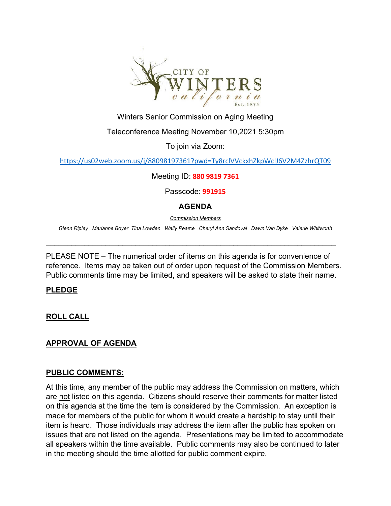

Winters Senior Commission on Aging Meeting

Teleconference Meeting November 10,2021 5:30pm

To join via Zoom:

<https://us02web.zoom.us/j/88098197361?pwd=Ty8rclVVckxhZkpWclJ6V2M4ZzhrQT09>

Meeting ID: **880 9819 7361**

Passcode: **991915**

#### **AGENDA**

*Commission Members*

*Glenn Ripley Marianne Boyer Tina Lowden Wally Pearce Cheryl Ann Sandoval Dawn Van Dyke Valerie Whitworth*

\_\_\_\_\_\_\_\_\_\_\_\_\_\_\_\_\_\_\_\_\_\_\_\_\_\_\_\_\_\_\_\_\_\_\_\_\_\_\_\_\_\_\_\_\_\_\_\_\_\_\_\_\_\_\_\_\_\_\_\_\_\_\_\_\_\_\_\_

PLEASE NOTE – The numerical order of items on this agenda is for convenience of reference. Items may be taken out of order upon request of the Commission Members. Public comments time may be limited, and speakers will be asked to state their name.

#### **PLEDGE**

**ROLL CALL**

## **APPROVAL OF AGENDA**

#### **PUBLIC COMMENTS:**

At this time, any member of the public may address the Commission on matters, which are not listed on this agenda. Citizens should reserve their comments for matter listed on this agenda at the time the item is considered by the Commission. An exception is made for members of the public for whom it would create a hardship to stay until their item is heard. Those individuals may address the item after the public has spoken on issues that are not listed on the agenda. Presentations may be limited to accommodate all speakers within the time available. Public comments may also be continued to later in the meeting should the time allotted for public comment expire.